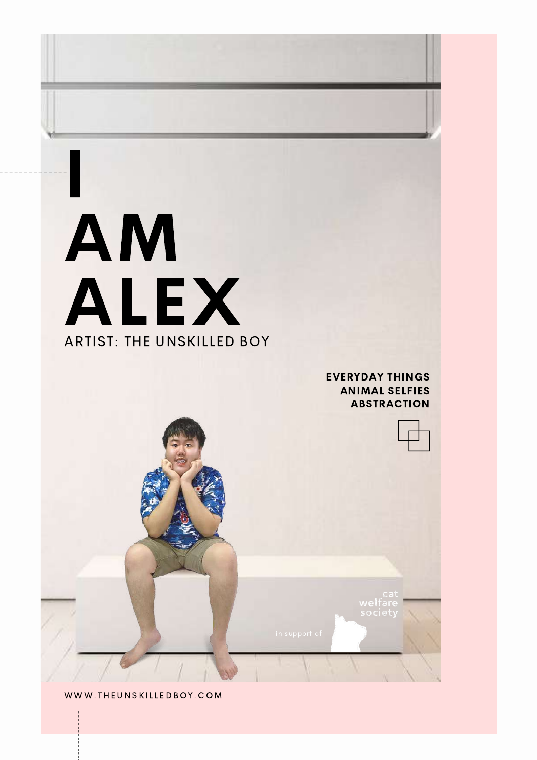## AM A L E X ARTIST: THE UNSK ILLED BOY

 $\overline{1}$ 

--------------

EVERYDAY THINGS ANIMAL SELFIES ABSTRACTION

WWW. TH[EUNSKI](http://www.theunskilledboy.com/)LLEDBOY. COM

--------------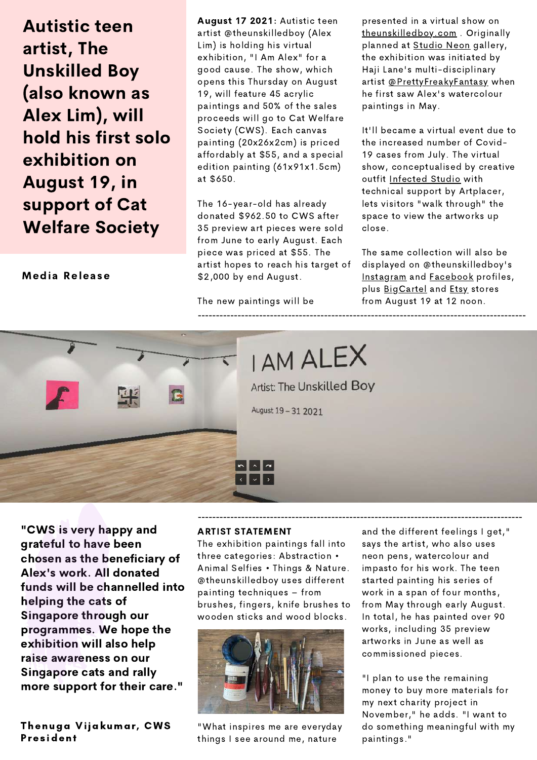Autistic teen artist, The Unskilled Boy (also known as Alex Lim), will hold his first solo exhibition on August 19, in support of Cat Welfare Society

Media Release

August 17 2021: Autistic teen artist @theunskilledboy (Alex Lim) is holding his virtual exhibition, "I Am Alex" for a good cause. The show, which opens this Thursday on August 19, will feature 45 acrylic paintings and 50% of the sales proceeds will go to Cat Welfare Society (CWS). Each canvas painting (20x26x2cm) is priced affordably at \$55, and a special edition painting (61x91x1.5cm) at \$650.

The 16-year-old has already donated \$962.50 to CWS after 35 preview art pieces were sold from June to early August. Each piece was priced at \$55. The artist hopes to reach his target of \$2,000 by end August.

The new paintings will be

presented in a virtual show on [theunskilledboy.com](http://www.theunskilledboy.com/) . Originally planned at [Studio](https://www.instagram.com/studion.e.o.n/) Neon gallery, the exhibition was initiated by Haji Lane's multi-disciplinary artist [@PrettyFreakyFantasy](https://www.instagram.com/prettyfreakyfantasy/) when he first saw Alex's watercolour paintings in May.

It'll became a virtual event due to the increased number of Covid-19 cases from July. The virtual show, conceptualised by creative outfit [Infected](http://www.infected.studio/) Studio with technical support by Artplacer, lets visitors "walk through" the space to view the artworks up close.

The same collection will also be displayed on @theunskilledboy's [Instagram](https://www.instagram.com/theunskilledboy/) and **[Facebook](https://www.facebook.com/theunskilledboy)** profiles, plus [BigCartel](https://theunskilledboy.bigcartel.com/) and [Etsy](https://www.etsy.com/shop/TheUnskilledBoy) stores from August 19 at 12 noon.



**I AM ALEX** 

Artist: The Unskilled Boy

------------------------------------------------------------------------------------------

August 19 - 31 2021

"CWS is very happy and grateful to have been chosen as the beneficiary of Alex's work. All donated funds will be channelled into helping the cats of Singapore through our programmes. We hope the exhibition will also help raise awareness on our Singapore cats and rally more support for their care."

Thenuga Vijakumar, CWS Pres ident

## ARTIST STATEMENT

The exhibition paintings fall into three categories: Abstraction • Animal Selfies • Things & Nature. @theunskilledboy uses different painting techniques – from brushes, fingers, knife brushes to wooden sticks and wood blocks.



"What inspires me are everyday things I see around me, nature

and the different feelings I get," says the artist, who also uses neon pens, watercolour and impasto for his work. The teen started painting his series of work in a span of four months, from May through early August. In total, he has painted over 90 works, including 35 preview artworks in June as well as commissioned pieces.

"I plan to use the remaining money to buy more materials for my next charity project in November," he adds. "I want to do something meaningful with my paintings."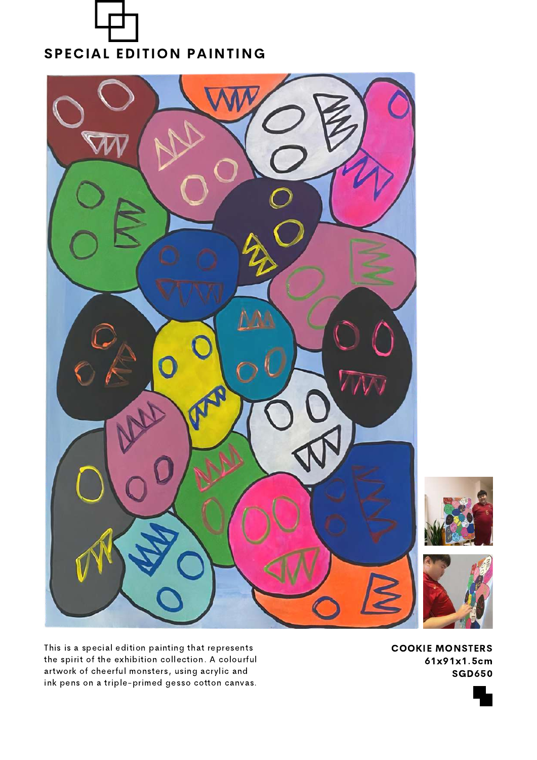



This is a special edition painting that represents the spirit of the exhibition collection. A colourful artwork of cheerful monsters, using acrylic and ink pens on a triple-primed gesso cotton canvas.

COOKIE MONSTERS 61x91x1.5cm SGD650